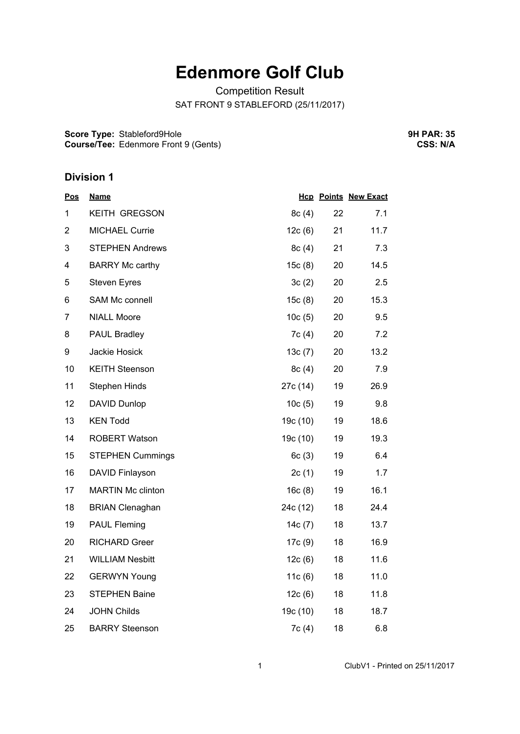## **Edenmore Golf Club**

Competition Result SAT FRONT 9 STABLEFORD (25/11/2017)

**Score Type:** Stableford9Hole **Course/Tee:** Edenmore Front 9 (Gents) **9H PAR: 35 CSS: N/A**

## **Division 1**

| <u>Pos</u>     | <b>Name</b>              |          |    | <b>Hcp Points New Exact</b> |
|----------------|--------------------------|----------|----|-----------------------------|
| 1              | <b>KEITH GREGSON</b>     | 8c(4)    | 22 | 7.1                         |
| $\overline{2}$ | MICHAEL Currie           | 12c(6)   | 21 | 11.7                        |
| 3              | <b>STEPHEN Andrews</b>   | 8c(4)    | 21 | 7.3                         |
| 4              | <b>BARRY Mc carthy</b>   | 15c(8)   | 20 | 14.5                        |
| 5              | <b>Steven Eyres</b>      | 3c(2)    | 20 | 2.5                         |
| 6              | SAM Mc connell           | 15c(8)   | 20 | 15.3                        |
| $\overline{7}$ | <b>NIALL Moore</b>       | 10c(5)   | 20 | 9.5                         |
| 8              | PAUL Bradley             | 7c(4)    | 20 | 7.2                         |
| 9              | Jackie Hosick            | 13c(7)   | 20 | 13.2                        |
| 10             | <b>KEITH Steenson</b>    | 8c(4)    | 20 | 7.9                         |
| 11             | <b>Stephen Hinds</b>     | 27c (14) | 19 | 26.9                        |
| 12             | <b>DAVID Dunlop</b>      | 10c(5)   | 19 | 9.8                         |
| 13             | <b>KEN Todd</b>          | 19c (10) | 19 | 18.6                        |
| 14             | <b>ROBERT Watson</b>     | 19c (10) | 19 | 19.3                        |
| 15             | <b>STEPHEN Cummings</b>  | 6c(3)    | 19 | 6.4                         |
| 16             | DAVID Finlayson          | 2c(1)    | 19 | 1.7                         |
| 17             | <b>MARTIN Mc clinton</b> | 16c(8)   | 19 | 16.1                        |
| 18             | <b>BRIAN Clenaghan</b>   | 24c (12) | 18 | 24.4                        |
| 19             | <b>PAUL Fleming</b>      | 14c(7)   | 18 | 13.7                        |
| 20             | <b>RICHARD Greer</b>     | 17c(9)   | 18 | 16.9                        |
| 21             | <b>WILLIAM Nesbitt</b>   | 12c(6)   | 18 | 11.6                        |
| 22             | <b>GERWYN Young</b>      | 11c(6)   | 18 | 11.0                        |
| 23             | <b>STEPHEN Baine</b>     | 12c(6)   | 18 | 11.8                        |
| 24             | <b>JOHN Childs</b>       | 19c (10) | 18 | 18.7                        |
| 25             | <b>BARRY Steenson</b>    | 7c(4)    | 18 | 6.8                         |

1 ClubV1 - Printed on 25/11/2017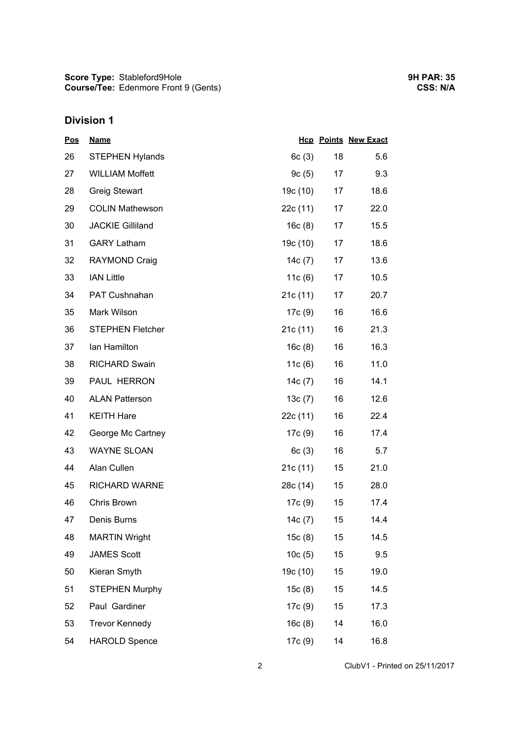**Score Type: Course/Tee:** Stableford9Hole Edenmore Front 9 (Gents)

## **Division 1**

| Pos | <b>Name</b>             |           |        | <b>Hcp Points New Exact</b> |
|-----|-------------------------|-----------|--------|-----------------------------|
| 26  | <b>STEPHEN Hylands</b>  | 6c(3)     | 18     | 5.6                         |
| 27  | <b>WILLIAM Moffett</b>  | 9c(5)     | 17     | 9.3                         |
| 28  | <b>Greig Stewart</b>    | 19c (10)  | 17     | 18.6                        |
| 29  | <b>COLIN Mathewson</b>  | 22c(11)   | 17     | 22.0                        |
| 30  | <b>JACKIE Gilliland</b> | 16c(8)    | 17     | 15.5                        |
| 31  | <b>GARY Latham</b>      | 19c (10)  | 17     | 18.6                        |
| 32  | RAYMOND Craig           | 14c(7)    | 17     | 13.6                        |
| 33  | <b>IAN Little</b>       | 11 $c(6)$ | 17     | 10.5                        |
| 34  | PAT Cushnahan           | 21c(11)   | 17     | 20.7                        |
| 35  | Mark Wilson             | 17c (9)   | 16     | 16.6                        |
| 36  | <b>STEPHEN Fletcher</b> | 21c(11)   | 16     | 21.3                        |
| 37  | Ian Hamilton            | 16c(8)    | 16     | 16.3                        |
| 38  | <b>RICHARD Swain</b>    | 11c(6)    | 16     | 11.0                        |
| 39  | PAUL HERRON             | 14 $c(7)$ | 16     | 14.1                        |
| 40  | <b>ALAN Patterson</b>   | 13c(7)    | 16     | 12.6                        |
| 41  | <b>KEITH Hare</b>       | 22c (11)  | 16     | 22.4                        |
| 42  | George Mc Cartney       | 17c (9)   | 16     | 17.4                        |
| 43  | <b>WAYNE SLOAN</b>      | 6c(3)     | 16     | 5.7                         |
| 44  | Alan Cullen             | 21c(11)   | $15\,$ | 21.0                        |
| 45  | <b>RICHARD WARNE</b>    | 28c (14)  | 15     | 28.0                        |
| 46  | Chris Brown             | 17c (9)   | 15     | 17.4                        |
| 47  | Denis Burns             | 14c (7)   | 15     | 14.4                        |
| 48  | <b>MARTIN Wright</b>    | 15c(8)    | 15     | 14.5                        |
| 49  | <b>JAMES Scott</b>      | 10c(5)    | 15     | 9.5                         |
| 50  | Kieran Smyth            | 19c (10)  | 15     | 19.0                        |
| 51  | <b>STEPHEN Murphy</b>   | 15c(8)    | 15     | 14.5                        |
| 52  | Paul Gardiner           | 17c (9)   | 15     | 17.3                        |
| 53  | <b>Trevor Kennedy</b>   | 16c(8)    | 14     | 16.0                        |
| 54  | <b>HAROLD Spence</b>    | 17c (9)   | 14     | 16.8                        |